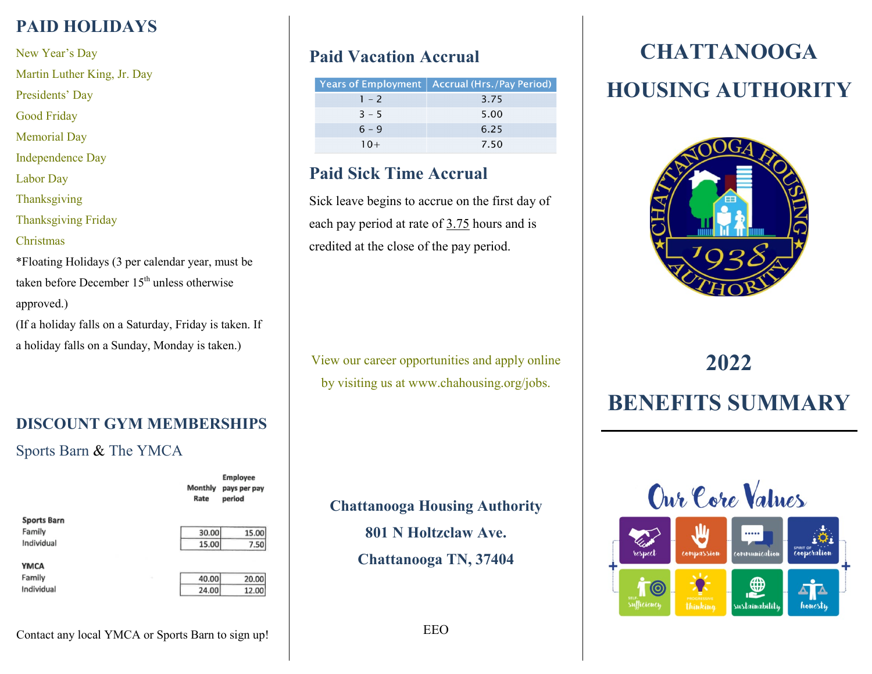# **PAID HOLIDAYS**

New Year's Day

Martin Luther King, Jr. Day

Presidents' Day

Good Friday

Memorial Day

Independence Day

Labor Day

Thanksgiving

Thanksgiving Friday

#### Christmas

Individual

\*Floating Holidays (3 per calendar year, must be taken before December  $15<sup>th</sup>$  unless otherwise approved.)

(If a holiday falls on a Saturday, Friday is taken. If a holiday falls on a Sunday, Monday is taken.)

# **DISCOUNT GYM MEMBERSHIPS** Sports Barn & The YMCA

Manthly **Sports Barn** Family Individual **YMCA** Family

| 15.00 | 30.00 |
|-------|-------|
| 7.50  | 15.00 |

**Employee** 

pays per pay period

20.00 40.00  $24.00$ 12.00

# **Paid Vacation Accrual**

|         | Years of Employment   Accrual (Hrs./Pay Period) |
|---------|-------------------------------------------------|
| $1 - 2$ | 3.75                                            |
| $3 - 5$ | 5.00                                            |
| $6 - 9$ | 6.25                                            |
| $10+$   | 7.50                                            |

# **Paid Sick Time Accrual**

Sick leave begins to accrue on the first day of each pay period at rate of 3.75 hours and is credited at the close of the pay period.

View our career opportunities and apply online by visiting us at www.chahousing.org/jobs.

**Chattanooga Housing Authority**

**801 N Holtzclaw Ave.**

**Chattanooga TN, 37404**

# **CHATTANOOGA HOUSING AUTHORITY**



# **2022 BENEFITS SUMMARY**

Our Core Values



Contact any local YMCA or Sports Barn to sign up!

EEO